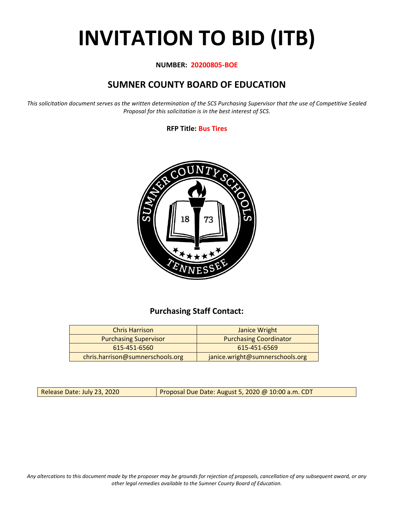# **INVITATION TO BID (ITB)**

#### **NUMBER: 20200805-BOE**

# **SUMNER COUNTY BOARD OF EDUCATION**

*This solicitation document serves as the written determination of the SCS Purchasing Supervisor that the use of Competitive Sealed Proposal for this solicitation is in the best interest of SCS.*

#### **RFP Title: Bus Tires**



## **Purchasing Staff Contact:**

| <b>Chris Harrison</b>            | Janice Wright                   |
|----------------------------------|---------------------------------|
| <b>Purchasing Supervisor</b>     | <b>Purchasing Coordinator</b>   |
| 615-451-6560                     | 615-451-6569                    |
| chris.harrison@sumnerschools.org | janice.wright@sumnerschools.org |

Release Date: July 23, 2020 **Proposal Due Date: August 5, 2020 @ 10:00 a.m. CDT** 

*Any altercations to this document made by the proposer may be grounds for rejection of proposals, cancellation of any subsequent award, or any other legal remedies available to the Sumner County Board of Education.*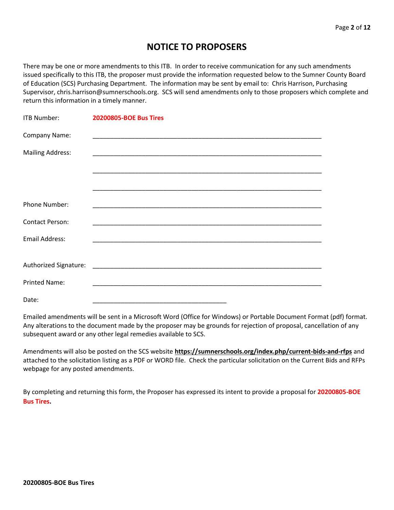## **NOTICE TO PROPOSERS**

There may be one or more amendments to this ITB. In order to receive communication for any such amendments issued specifically to this ITB, the proposer must provide the information requested below to the Sumner County Board of Education (SCS) Purchasing Department. The information may be sent by email to: Chris Harrison, Purchasing Supervisor, chris.harrison@sumnerschools.org. SCS will send amendments only to those proposers which complete and return this information in a timely manner.

| ITB Number:             | <b>20200805-BOE Bus Tires</b>                                                                                         |
|-------------------------|-----------------------------------------------------------------------------------------------------------------------|
| Company Name:           |                                                                                                                       |
| <b>Mailing Address:</b> | <u> 1989 - Johann John Stoff, deutscher Stoffen und der Stoffen und der Stoffen und der Stoffen und der Stoffen u</u> |
|                         |                                                                                                                       |
|                         |                                                                                                                       |
| Phone Number:           |                                                                                                                       |
| <b>Contact Person:</b>  |                                                                                                                       |
| <b>Email Address:</b>   |                                                                                                                       |
|                         |                                                                                                                       |
|                         |                                                                                                                       |
| <b>Printed Name:</b>    |                                                                                                                       |
| Date:                   |                                                                                                                       |

Emailed amendments will be sent in a Microsoft Word (Office for Windows) or Portable Document Format (pdf) format. Any alterations to the document made by the proposer may be grounds for rejection of proposal, cancellation of any subsequent award or any other legal remedies available to SCS.

Amendments will also be posted on the SCS website **https://sumnerschools.org/index.php/current-bids-and-rfps** and attached to the solicitation listing as a PDF or WORD file. Check the particular solicitation on the Current Bids and RFPs webpage for any posted amendments.

By completing and returning this form, the Proposer has expressed its intent to provide a proposal for **20200805-BOE Bus Tires.**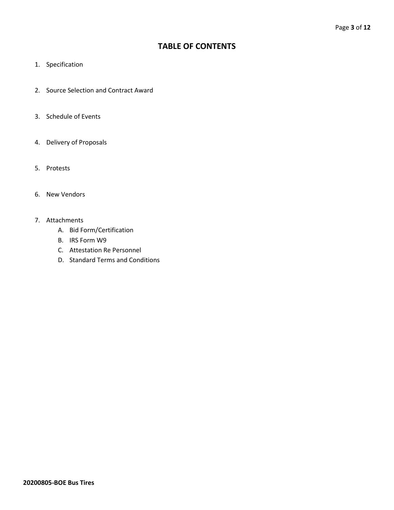### **TABLE OF CONTENTS**

- 1. Specification
- 2. Source Selection and Contract Award
- 3. Schedule of Events
- 4. Delivery of Proposals
- 5. Protests
- 6. New Vendors
- 7. Attachments
	- A. Bid Form/Certification
	- B. IRS Form W9
	- C. Attestation Re Personnel
	- D. Standard Terms and Conditions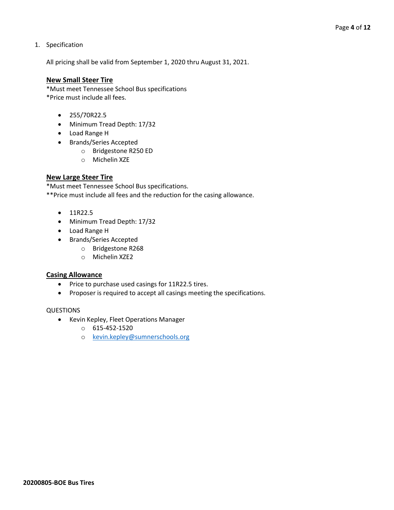#### 1. Specification

All pricing shall be valid from September 1, 2020 thru August 31, 2021.

#### **New Small Steer Tire**

\*Must meet Tennessee School Bus specifications \*Price must include all fees.

- 255/70R22.5
- Minimum Tread Depth: 17/32
- Load Range H
- Brands/Series Accepted
	- o Bridgestone R250 ED
	- o Michelin XZE

#### **New Large Steer Tire**

\*Must meet Tennessee School Bus specifications. \*\*Price must include all fees and the reduction for the casing allowance.

- 11R22.5
- Minimum Tread Depth: 17/32
- Load Range H
- Brands/Series Accepted
	- o Bridgestone R268
	- o Michelin XZE2

#### **Casing Allowance**

- Price to purchase used casings for 11R22.5 tires.
- Proposer is required to accept all casings meeting the specifications.

#### QUESTIONS

- Kevin Kepley, Fleet Operations Manager
	- o 615-452-1520
	- o [kevin.kepley@sumnerschools.org](mailto:kevin.kepley@sumnerschools.org)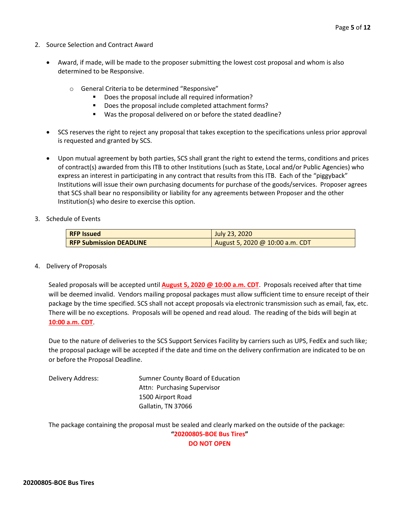- 2. Source Selection and Contract Award
	- Award, if made, will be made to the proposer submitting the lowest cost proposal and whom is also determined to be Responsive.
		- o General Criteria to be determined "Responsive"
			- Does the proposal include all required information?
			- Does the proposal include completed attachment forms?
			- Was the proposal delivered on or before the stated deadline?
	- SCS reserves the right to reject any proposal that takes exception to the specifications unless prior approval is requested and granted by SCS.
	- Upon mutual agreement by both parties, SCS shall grant the right to extend the terms, conditions and prices of contract(s) awarded from this ITB to other Institutions (such as State, Local and/or Public Agencies) who express an interest in participating in any contract that results from this ITB. Each of the "piggyback" Institutions will issue their own purchasing documents for purchase of the goods/services. Proposer agrees that SCS shall bear no responsibility or liability for any agreements between Proposer and the other Institution(s) who desire to exercise this option.
- 3. Schedule of Events

| <b>RFP Issued</b>              | July 23, 2020                   |
|--------------------------------|---------------------------------|
| <b>RFP Submission DEADLINE</b> | August 5, 2020 @ 10:00 a.m. CDT |

4. Delivery of Proposals

Sealed proposals will be accepted until **August 5, 2020 @ 10:00 a.m. CDT**. Proposals received after that time will be deemed invalid. Vendors mailing proposal packages must allow sufficient time to ensure receipt of their package by the time specified. SCS shall not accept proposals via electronic transmission such as email, fax, etc. There will be no exceptions. Proposals will be opened and read aloud. The reading of the bids will begin at **10:00 a.m. CDT**.

Due to the nature of deliveries to the SCS Support Services Facility by carriers such as UPS, FedEx and such like; the proposal package will be accepted if the date and time on the delivery confirmation are indicated to be on or before the Proposal Deadline.

Delivery Address: Sumner County Board of Education Attn: Purchasing Supervisor 1500 Airport Road Gallatin, TN 37066

The package containing the proposal must be sealed and clearly marked on the outside of the package: **"20200805-BOE Bus Tires"**

**DO NOT OPEN**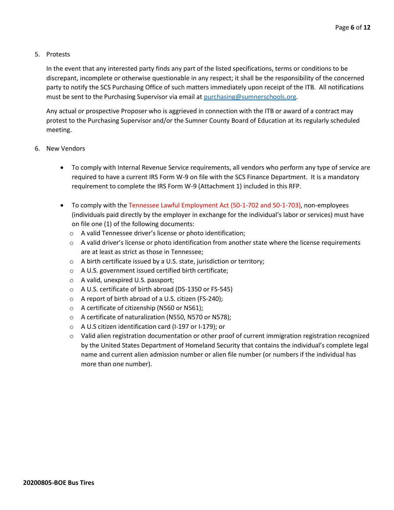#### 5. Protests

In the event that any interested party finds any part of the listed specifications, terms or conditions to be discrepant, incomplete or otherwise questionable in any respect; it shall be the responsibility of the concerned party to notify the SCS Purchasing Office of such matters immediately upon receipt of the ITB. All notifications must be sent to the Purchasing Supervisor via email at [purchasing@sumnerschools.org.](mailto:purchasing@sumnerschools.org)

Any actual or prospective Proposer who is aggrieved in connection with the ITB or award of a contract may protest to the Purchasing Supervisor and/or the Sumner County Board of Education at its regularly scheduled meeting.

- 6. New Vendors
	- To comply with Internal Revenue Service requirements, all vendors who perform any type of service are required to have a current IRS Form W-9 on file with the SCS Finance Department. It is a mandatory requirement to complete the IRS Form W-9 (Attachment 1) included in this RFP.
	- To comply with the Tennessee Lawful Employment Act (50-1-702 and 50-1-703), non-employees (individuals paid directly by the employer in exchange for the individual's labor or services) must have on file one (1) of the following documents:
		- o A valid Tennessee driver's license or photo identification;
		- $\circ$  A valid driver's license or photo identification from another state where the license requirements are at least as strict as those in Tennessee;
		- o A birth certificate issued by a U.S. state, jurisdiction or territory;
		- o A U.S. government issued certified birth certificate;
		- o A valid, unexpired U.S. passport;
		- o A U.S. certificate of birth abroad (DS-1350 or FS-545)
		- o A report of birth abroad of a U.S. citizen (FS-240);
		- o A certificate of citizenship (N560 or N561);
		- o A certificate of naturalization (N550, N570 or N578);
		- o A U.S citizen identification card (I-197 or I-179); or
		- o Valid alien registration documentation or other proof of current immigration registration recognized by the United States Department of Homeland Security that contains the individual's complete legal name and current alien admission number or alien file number (or numbers if the individual has more than one number).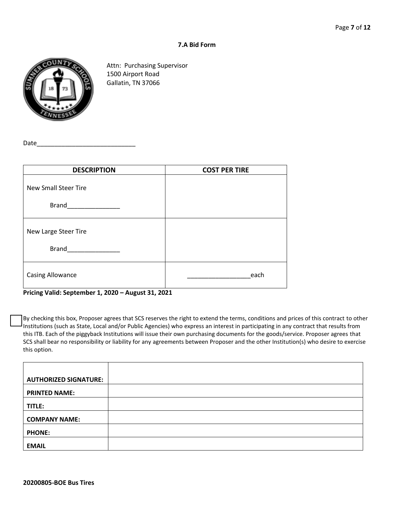#### **7.A Bid Form**



Attn: Purchasing Supervisor 1500 Airport Road Gallatin, TN 37066

Date

| <b>DESCRIPTION</b>          | <b>COST PER TIRE</b> |  |  |  |  |  |  |
|-----------------------------|----------------------|--|--|--|--|--|--|
| <b>New Small Steer Tire</b> |                      |  |  |  |  |  |  |
| <b>Brand</b>                |                      |  |  |  |  |  |  |
| New Large Steer Tire        |                      |  |  |  |  |  |  |
| <b>Brand</b>                |                      |  |  |  |  |  |  |
| <b>Casing Allowance</b>     | each                 |  |  |  |  |  |  |

**Pricing Valid: September 1, 2020 – August 31, 2021**

By checking this box, Proposer agrees that SCS reserves the right to extend the terms, conditions and prices of this contract to other Institutions (such as State, Local and/or Public Agencies) who express an interest in participating in any contract that results from this ITB. Each of the piggyback Institutions will issue their own purchasing documents for the goods/service. Proposer agrees that SCS shall bear no responsibility or liability for any agreements between Proposer and the other Institution(s) who desire to exercise this option.

| <b>AUTHORIZED SIGNATURE:</b> |  |
|------------------------------|--|
| <b>PRINTED NAME:</b>         |  |
| TITLE:                       |  |
| <b>COMPANY NAME:</b>         |  |
| <b>PHONE:</b>                |  |
| <b>EMAIL</b>                 |  |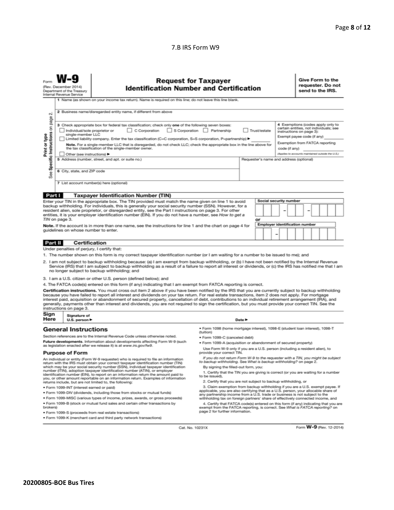#### 7.B IRS Form W9

|                                                                                                                                                                                                                                                                                                                                                                                                                                                                                                                                                                                                                                                     | <b>Request for Taxpayer</b><br>(Rev. December 2014)<br><b>Identification Number and Certification</b><br>Department of the Treasury<br>Internal Revenue Service<br>1 Name (as shown on your income tax return). Name is required on this line; do not leave this line blank. |                      |                                                                                                                                                                                                                                                                                                                                                                                                                                                                                                                                                                                                                               |                                                                                                                                                                                             |                                                                                                                                                                                                        |    |                                                                                                                                                                                                  |  |                                       | Give Form to the<br>requester. Do not<br>send to the IRS. |  |  |  |  |
|-----------------------------------------------------------------------------------------------------------------------------------------------------------------------------------------------------------------------------------------------------------------------------------------------------------------------------------------------------------------------------------------------------------------------------------------------------------------------------------------------------------------------------------------------------------------------------------------------------------------------------------------------------|------------------------------------------------------------------------------------------------------------------------------------------------------------------------------------------------------------------------------------------------------------------------------|----------------------|-------------------------------------------------------------------------------------------------------------------------------------------------------------------------------------------------------------------------------------------------------------------------------------------------------------------------------------------------------------------------------------------------------------------------------------------------------------------------------------------------------------------------------------------------------------------------------------------------------------------------------|---------------------------------------------------------------------------------------------------------------------------------------------------------------------------------------------|--------------------------------------------------------------------------------------------------------------------------------------------------------------------------------------------------------|----|--------------------------------------------------------------------------------------------------------------------------------------------------------------------------------------------------|--|---------------------------------------|-----------------------------------------------------------|--|--|--|--|
| σû                                                                                                                                                                                                                                                                                                                                                                                                                                                                                                                                                                                                                                                  |                                                                                                                                                                                                                                                                              |                      | 2 Business name/disregarded entity name, if different from above                                                                                                                                                                                                                                                                                                                                                                                                                                                                                                                                                              |                                                                                                                                                                                             |                                                                                                                                                                                                        |    |                                                                                                                                                                                                  |  |                                       |                                                           |  |  |  |  |
| page<br>3 Check appropriate box for federal tax classification; check only one of the following seven boxes:<br>Specific Instructions on<br>C Corporation<br>S Corporation Partnership<br>Individual/sole proprietor or<br>Trust/estate<br>instructions on page 3):<br>single-member LLC<br>Print or type<br>Limited liability company. Enter the tax classification (C=C corporation, S=S corporation, P=partnership) ▶<br>Note. For a single-member LLC that is disregarded, do not check LLC; check the appropriate box in the line above for<br>the tax classification of the single-member owner.<br>code (if anv)<br>Other (see instructions) |                                                                                                                                                                                                                                                                              |                      |                                                                                                                                                                                                                                                                                                                                                                                                                                                                                                                                                                                                                               |                                                                                                                                                                                             |                                                                                                                                                                                                        |    | 4 Exemptions (codes apply only to<br>certain entities, not individuals; see<br>Exempt payee code (if any)<br>Exemption from FATCA reporting<br>(Applies to accounts maintained outside the U.S.) |  |                                       |                                                           |  |  |  |  |
| 5 Address (number, street, and apt. or suite no.)<br>Requester's name and address (optional)<br>6 City, state, and ZIP code<br>See<br>7 List account number(s) here (optional)                                                                                                                                                                                                                                                                                                                                                                                                                                                                      |                                                                                                                                                                                                                                                                              |                      |                                                                                                                                                                                                                                                                                                                                                                                                                                                                                                                                                                                                                               |                                                                                                                                                                                             |                                                                                                                                                                                                        |    |                                                                                                                                                                                                  |  |                                       |                                                           |  |  |  |  |
| Part I                                                                                                                                                                                                                                                                                                                                                                                                                                                                                                                                                                                                                                              |                                                                                                                                                                                                                                                                              |                      | <b>Taxpayer Identification Number (TIN)</b>                                                                                                                                                                                                                                                                                                                                                                                                                                                                                                                                                                                   |                                                                                                                                                                                             |                                                                                                                                                                                                        |    |                                                                                                                                                                                                  |  |                                       |                                                           |  |  |  |  |
|                                                                                                                                                                                                                                                                                                                                                                                                                                                                                                                                                                                                                                                     |                                                                                                                                                                                                                                                                              |                      | Enter your TIN in the appropriate box. The TIN provided must match the name given on line 1 to avoid                                                                                                                                                                                                                                                                                                                                                                                                                                                                                                                          |                                                                                                                                                                                             |                                                                                                                                                                                                        |    |                                                                                                                                                                                                  |  | Social security number                |                                                           |  |  |  |  |
| backup withholding. For individuals, this is generally your social security number (SSN). However, for a<br>resident alien, sole proprietor, or disregarded entity, see the Part I instructions on page 3. For other<br>entities, it is your employer identification number (EIN). If you do not have a number, see How to get a<br>TIN on page 3.                                                                                                                                                                                                                                                                                                  |                                                                                                                                                                                                                                                                              |                      |                                                                                                                                                                                                                                                                                                                                                                                                                                                                                                                                                                                                                               |                                                                                                                                                                                             |                                                                                                                                                                                                        | or |                                                                                                                                                                                                  |  |                                       |                                                           |  |  |  |  |
|                                                                                                                                                                                                                                                                                                                                                                                                                                                                                                                                                                                                                                                     |                                                                                                                                                                                                                                                                              |                      | Note. If the account is in more than one name, see the instructions for line 1 and the chart on page 4 for                                                                                                                                                                                                                                                                                                                                                                                                                                                                                                                    |                                                                                                                                                                                             |                                                                                                                                                                                                        |    |                                                                                                                                                                                                  |  | <b>Employer identification number</b> |                                                           |  |  |  |  |
|                                                                                                                                                                                                                                                                                                                                                                                                                                                                                                                                                                                                                                                     |                                                                                                                                                                                                                                                                              |                      | quidelines on whose number to enter.                                                                                                                                                                                                                                                                                                                                                                                                                                                                                                                                                                                          |                                                                                                                                                                                             |                                                                                                                                                                                                        |    |                                                                                                                                                                                                  |  |                                       |                                                           |  |  |  |  |
| Part II                                                                                                                                                                                                                                                                                                                                                                                                                                                                                                                                                                                                                                             |                                                                                                                                                                                                                                                                              | <b>Certification</b> |                                                                                                                                                                                                                                                                                                                                                                                                                                                                                                                                                                                                                               |                                                                                                                                                                                             |                                                                                                                                                                                                        |    |                                                                                                                                                                                                  |  |                                       |                                                           |  |  |  |  |
| Under penalties of perjury, I certify that:<br>1. The number shown on this form is my correct taxpayer identification number (or I am waiting for a number to be issued to me); and<br>2. I am not subject to backup withholding because: (a) I am exempt from backup withholding, or (b) I have not been notified by the Internal Revenue<br>Service (IRS) that I am subject to backup withholding as a result of a failure to report all interest or dividends, or (c) the IRS has notified me that I am<br>no longer subject to backup withholding; and                                                                                          |                                                                                                                                                                                                                                                                              |                      |                                                                                                                                                                                                                                                                                                                                                                                                                                                                                                                                                                                                                               |                                                                                                                                                                                             |                                                                                                                                                                                                        |    |                                                                                                                                                                                                  |  |                                       |                                                           |  |  |  |  |
|                                                                                                                                                                                                                                                                                                                                                                                                                                                                                                                                                                                                                                                     |                                                                                                                                                                                                                                                                              |                      | 3. I am a U.S. citizen or other U.S. person (defined below); and                                                                                                                                                                                                                                                                                                                                                                                                                                                                                                                                                              |                                                                                                                                                                                             |                                                                                                                                                                                                        |    |                                                                                                                                                                                                  |  |                                       |                                                           |  |  |  |  |
|                                                                                                                                                                                                                                                                                                                                                                                                                                                                                                                                                                                                                                                     |                                                                                                                                                                                                                                                                              |                      | 4. The FATCA code(s) entered on this form (if any) indicating that I am exempt from FATCA reporting is correct.                                                                                                                                                                                                                                                                                                                                                                                                                                                                                                               |                                                                                                                                                                                             |                                                                                                                                                                                                        |    |                                                                                                                                                                                                  |  |                                       |                                                           |  |  |  |  |
|                                                                                                                                                                                                                                                                                                                                                                                                                                                                                                                                                                                                                                                     | instructions on page 3.                                                                                                                                                                                                                                                      |                      | Certification instructions. You must cross out item 2 above if you have been notified by the IRS that you are currently subject to backup withholding<br>because you have failed to report all interest and dividends on your tax return. For real estate transactions, item 2 does not apply. For mortgage<br>interest paid, acquisition or abandonment of secured property, cancellation of debt, contributions to an individual retirement arrangement (IRA), and<br>generally, payments other than interest and dividends, you are not required to sign the certification, but you must provide your correct TIN. See the |                                                                                                                                                                                             |                                                                                                                                                                                                        |    |                                                                                                                                                                                                  |  |                                       |                                                           |  |  |  |  |
|                                                                                                                                                                                                                                                                                                                                                                                                                                                                                                                                                                                                                                                     | Sign<br>Signature of<br>Here<br>Date $\blacktriangleright$<br>U.S. person ▶                                                                                                                                                                                                  |                      |                                                                                                                                                                                                                                                                                                                                                                                                                                                                                                                                                                                                                               |                                                                                                                                                                                             |                                                                                                                                                                                                        |    |                                                                                                                                                                                                  |  |                                       |                                                           |  |  |  |  |
| <b>General Instructions</b>                                                                                                                                                                                                                                                                                                                                                                                                                                                                                                                                                                                                                         |                                                                                                                                                                                                                                                                              |                      | (tuition)                                                                                                                                                                                                                                                                                                                                                                                                                                                                                                                                                                                                                     | · Form 1098 (home mortgage interest), 1098-E (student loan interest), 1098-T                                                                                                                |                                                                                                                                                                                                        |    |                                                                                                                                                                                                  |  |                                       |                                                           |  |  |  |  |
| Section references are to the Internal Revenue Code unless otherwise noted.                                                                                                                                                                                                                                                                                                                                                                                                                                                                                                                                                                         |                                                                                                                                                                                                                                                                              |                      |                                                                                                                                                                                                                                                                                                                                                                                                                                                                                                                                                                                                                               | • Form 1099-C (canceled debt)                                                                                                                                                               |                                                                                                                                                                                                        |    |                                                                                                                                                                                                  |  |                                       |                                                           |  |  |  |  |
| Future developments. Information about developments affecting Form W-9 (such<br>as legislation enacted after we release it) is at www.irs.gov/fw9.                                                                                                                                                                                                                                                                                                                                                                                                                                                                                                  |                                                                                                                                                                                                                                                                              |                      |                                                                                                                                                                                                                                                                                                                                                                                                                                                                                                                                                                                                                               |                                                                                                                                                                                             | . Form 1099-A (acquisition or abandonment of secured property)                                                                                                                                         |    |                                                                                                                                                                                                  |  |                                       |                                                           |  |  |  |  |
| Use Form W-9 only if you are a U.S. person (including a resident alien), to<br><b>Purpose of Form</b><br>provide your correct TIN.                                                                                                                                                                                                                                                                                                                                                                                                                                                                                                                  |                                                                                                                                                                                                                                                                              |                      |                                                                                                                                                                                                                                                                                                                                                                                                                                                                                                                                                                                                                               |                                                                                                                                                                                             |                                                                                                                                                                                                        |    |                                                                                                                                                                                                  |  |                                       |                                                           |  |  |  |  |
| If you do not return Form W-9 to the requester with a TIN, you might be subject<br>An individual or entity (Form W-9 requester) who is required to file an information<br>to backup withholding. See What is backup withholding? on page 2.<br>return with the IRS must obtain your correct taxpayer identification number (TIN)                                                                                                                                                                                                                                                                                                                    |                                                                                                                                                                                                                                                                              |                      |                                                                                                                                                                                                                                                                                                                                                                                                                                                                                                                                                                                                                               |                                                                                                                                                                                             |                                                                                                                                                                                                        |    |                                                                                                                                                                                                  |  |                                       |                                                           |  |  |  |  |
| which may be your social security number (SSN), individual taxpayer identification<br>number (ITIN), adoption taxpayer identification number (ATIN), or employer<br>identification number (EIN), to report on an information return the amount paid to<br>you, or other amount reportable on an information return. Examples of information                                                                                                                                                                                                                                                                                                         |                                                                                                                                                                                                                                                                              |                      | to be issued).                                                                                                                                                                                                                                                                                                                                                                                                                                                                                                                                                                                                                | By signing the filled-out form, you:<br>1. Certify that the TIN you are giving is correct (or you are waiting for a number<br>2. Certify that you are not subject to backup withholding, or |                                                                                                                                                                                                        |    |                                                                                                                                                                                                  |  |                                       |                                                           |  |  |  |  |
| returns include, but are not limited to, the following:<br>· Form 1099-INT (interest earned or paid)                                                                                                                                                                                                                                                                                                                                                                                                                                                                                                                                                |                                                                                                                                                                                                                                                                              |                      | 3. Claim exemption from backup withholding if you are a U.S. exempt payee. If                                                                                                                                                                                                                                                                                                                                                                                                                                                                                                                                                 |                                                                                                                                                                                             |                                                                                                                                                                                                        |    |                                                                                                                                                                                                  |  |                                       |                                                           |  |  |  |  |
|                                                                                                                                                                                                                                                                                                                                                                                                                                                                                                                                                                                                                                                     |                                                                                                                                                                                                                                                                              |                      | . Form 1099-DIV (dividends, including those from stocks or mutual funds)                                                                                                                                                                                                                                                                                                                                                                                                                                                                                                                                                      | applicable, you are also certifying that as a U.S. person, your allocable share of                                                                                                          |                                                                                                                                                                                                        |    |                                                                                                                                                                                                  |  |                                       |                                                           |  |  |  |  |
| · Form 1099-MISC (various types of income, prizes, awards, or gross proceeds)                                                                                                                                                                                                                                                                                                                                                                                                                                                                                                                                                                       |                                                                                                                                                                                                                                                                              |                      |                                                                                                                                                                                                                                                                                                                                                                                                                                                                                                                                                                                                                               |                                                                                                                                                                                             | any partnership income from a U.S. trade or business is not subject to the<br>withholding tax on foreign partners' share of effectively connected income, and                                          |    |                                                                                                                                                                                                  |  |                                       |                                                           |  |  |  |  |
| brokers)                                                                                                                                                                                                                                                                                                                                                                                                                                                                                                                                                                                                                                            |                                                                                                                                                                                                                                                                              |                      | . Form 1099-B (stock or mutual fund sales and certain other transactions by<br>· Form 1099-S (proceeds from real estate transactions)                                                                                                                                                                                                                                                                                                                                                                                                                                                                                         |                                                                                                                                                                                             | 4. Certify that FATCA code(s) entered on this form (if any) indicating that you are<br>exempt from the FATCA reporting, is correct. See What is FATCA reporting? on<br>page 2 for further information. |    |                                                                                                                                                                                                  |  |                                       |                                                           |  |  |  |  |

Cat. No. 10231X

Form W-9 (Rev. 12-2014)

· Form 1099-K (merchant card and third party network transactions)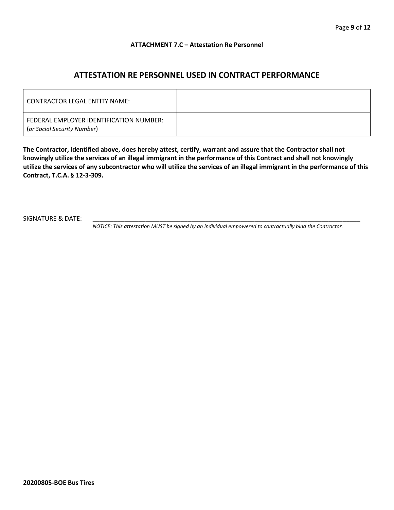#### **ATTACHMENT 7.C – Attestation Re Personnel**

## **ATTESTATION RE PERSONNEL USED IN CONTRACT PERFORMANCE**

| CONTRACTOR LEGAL ENTITY NAME:                                          |  |
|------------------------------------------------------------------------|--|
| FEDERAL EMPLOYER IDENTIFICATION NUMBER:<br>(or Social Security Number) |  |

**The Contractor, identified above, does hereby attest, certify, warrant and assure that the Contractor shall not knowingly utilize the services of an illegal immigrant in the performance of this Contract and shall not knowingly utilize the services of any subcontractor who will utilize the services of an illegal immigrant in the performance of this Contract, T.C.A. § 12-3-309.**

SIGNATURE & DATE:

*NOTICE: This attestation MUST be signed by an individual empowered to contractually bind the Contractor.*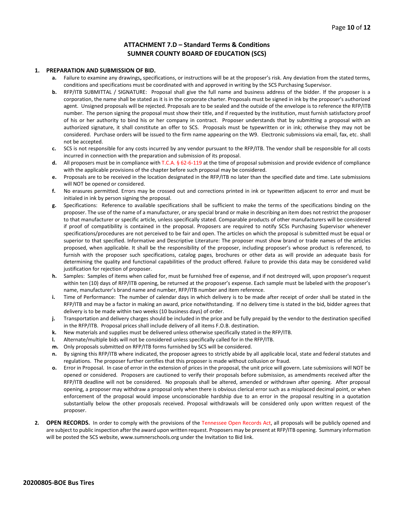#### **ATTACHMENT 7.D – Standard Terms & Conditions SUMNER COUNTY BOARD OF EDUCATION (SCS)**

#### **1. PREPARATION AND SUBMISSION OF BID.**

- **a.** Failure to examine any drawings**,** specifications, or instructions will be at the proposer's risk. Any deviation from the stated terms, conditions and specifications must be coordinated with and approved in writing by the SCS Purchasing Supervisor.
- **b.** RFP/ITB SUBMITTAL / SIGNATURE: Proposal shall give the full name and business address of the bidder. If the proposer is a corporation, the name shall be stated as it is in the corporate charter. Proposals must be signed in ink by the proposer's authorized agent. Unsigned proposals will be rejected. Proposals are to be sealed and the outside of the envelope is to reference the RFP/ITB number. The person signing the proposal must show their title, and if requested by the institution, must furnish satisfactory proof of his or her authority to bind his or her company in contract. Proposer understands that by submitting a proposal with an authorized signature, it shall constitute an offer to SCS. Proposals must be typewritten or in ink; otherwise they may not be considered. Purchase orders will be issued to the firm name appearing on the W9. Electronic submissions via email, fax, etc. shall not be accepted.
- **c.** SCS is not responsible for any costs incurred by any vendor pursuant to the RFP/ITB. The vendor shall be responsible for all costs incurred in connection with the preparation and submission of its proposal.
- **d.** All proposers must be in compliance with T.C.A. § 62-6-119 at the time of proposal submission and provide evidence of compliance with the applicable provisions of the chapter before such proposal may be considered.
- **e.** Proposals are to be received in the location designated in the RFP/ITB no later than the specified date and time. Late submissions will NOT be opened or considered.
- **f.** No erasures permitted. Errors may be crossed out and corrections printed in ink or typewritten adjacent to error and must be initialed in ink by person signing the proposal.
- **g.** Specifications: Reference to available specifications shall be sufficient to make the terms of the specifications binding on the proposer. The use of the name of a manufacturer, or any special brand or make in describing an item does not restrict the proposer to that manufacturer or specific article, unless specifically stated. Comparable products of other manufacturers will be considered if proof of compatibility is contained in the proposal. Proposers are required to notify SCSs Purchasing Supervisor whenever specifications/procedures are not perceived to be fair and open. The articles on which the proposal is submitted must be equal or superior to that specified. Informative and Descriptive Literature: The proposer must show brand or trade names of the articles proposed, when applicable. It shall be the responsibility of the proposer, including proposer's whose product is referenced, to furnish with the proposer such specifications, catalog pages, brochures or other data as will provide an adequate basis for determining the quality and functional capabilities of the product offered. Failure to provide this data may be considered valid justification for rejection of proposer.
- **h.** Samples: Samples of items when called for, must be furnished free of expense, and if not destroyed will, upon proposer's request within ten (10) days of RFP/ITB opening, be returned at the proposer's expense. Each sample must be labeled with the proposer's name, manufacturer's brand name and number, RFP/ITB number and item reference.
- **i.** Time of Performance: The number of calendar days in which delivery is to be made after receipt of order shall be stated in the RFP/ITB and may be a factor in making an award, price notwithstanding. If no delivery time is stated in the bid, bidder agrees that delivery is to be made within two weeks (10 business days) of order.
- **j.** Transportation and delivery charges should be included in the price and be fully prepaid by the vendor to the destination specified in the RFP/ITB. Proposal prices shall include delivery of all items F.O.B. destination.
- **k.** New materials and supplies must be delivered unless otherwise specifically stated in the RFP/ITB.
- **l.** Alternate/multiple bids will not be considered unless specifically called for in the RFP/ITB.
- **m.** Only proposals submitted on RFP/ITB forms furnished by SCS will be considered.
- **n.** By signing this RFP/ITB where indicated, the proposer agrees to strictly abide by all applicable local, state and federal statutes and regulations. The proposer further certifies that this proposer is made without collusion or fraud.
- **o.** Error in Proposal. In case of error in the extension of prices in the proposal, the unit price will govern. Late submissions will NOT be opened or considered. Proposers are cautioned to verify their proposals before submission, as amendments received after the RFP/ITB deadline will not be considered. No proposals shall be altered, amended or withdrawn after opening. After proposal opening, a proposer may withdraw a proposal only when there is obvious clerical error such as a misplaced decimal point, or when enforcement of the proposal would impose unconscionable hardship due to an error in the proposal resulting in a quotation substantially below the other proposals received. Proposal withdrawals will be considered only upon written request of the proposer.
- **2. OPEN RECORDS.** In order to comply with the provisions of the Tennessee Open Records Act, all proposals will be publicly opened and are subject to public inspection after the award upon written request. Proposers may be present at RFP/ITB opening. Summary information will be posted the SCS website, www.sumnerschools.org under the Invitation to Bid link.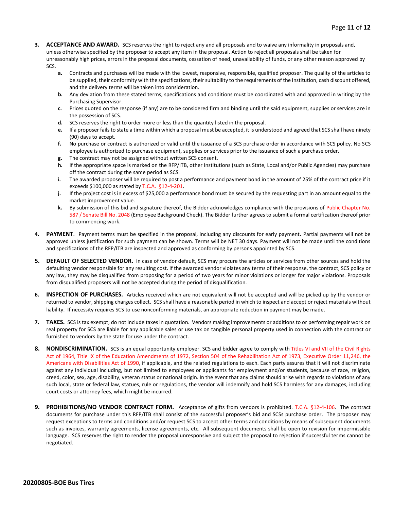- **3. ACCEPTANCE AND AWARD.** SCS reserves the right to reject any and all proposals and to waive any informality in proposals and, unless otherwise specified by the proposer to accept any item in the proposal. Action to reject all proposals shall be taken for unreasonably high prices, errors in the proposal documents, cessation of need, unavailability of funds, or any other reason approved by SCS.
	- **a.** Contracts and purchases will be made with the lowest, responsive, responsible, qualified proposer. The quality of the articles to be supplied, their conformity with the specifications, their suitability to the requirements of the Institution, cash discount offered, and the delivery terms will be taken into consideration.
	- **b.** Any deviation from these stated terms, specifications and conditions must be coordinated with and approved in writing by the Purchasing Supervisor.
	- **c.** Prices quoted on the response (if any) are to be considered firm and binding until the said equipment, supplies or services are in the possession of SCS.
	- **d.** SCS reserves the right to order more or less than the quantity listed in the proposal.
	- **e.** If a proposer fails to state a time within which a proposal must be accepted, it is understood and agreed that SCS shall have ninety (90) days to accept.
	- **f.** No purchase or contract is authorized or valid until the issuance of a SCS purchase order in accordance with SCS policy. No SCS employee is authorized to purchase equipment, supplies or services prior to the issuance of such a purchase order.
	- **g.** The contract may not be assigned without written SCS consent.
	- **h.** If the appropriate space is marked on the RFP/ITB, other Institutions (such as State, Local and/or Public Agencies) may purchase off the contract during the same period as SCS.
	- **i.** The awarded proposer will be required to post a performance and payment bond in the amount of 25% of the contract price if it exceeds \$100,000 as stated by T.C.A. §12-4-201.
	- **j.** If the project cost is in excess of \$25,000 a performance bond must be secured by the requesting part in an amount equal to the market improvement value.
	- **k.** By submission of this bid and signature thereof, the Bidder acknowledges compliance with the provisions of Public Chapter No. 587 / Senate Bill No. 2048 (Employee Background Check). The Bidder further agrees to submit a formal certification thereof prior to commencing work.
- PAYMENT. Payment terms must be specified in the proposal, including any discounts for early payment. Partial payments will not be approved unless justification for such payment can be shown. Terms will be NET 30 days. Payment will not be made until the conditions and specifications of the RFP/ITB are inspected and approved as conforming by persons appointed by SCS.
- **5. DEFAULT OF SELECTED VENDOR.** In case of vendor default, SCS may procure the articles or services from other sources and hold the defaulting vendor responsible for any resulting cost. If the awarded vendor violates any terms of their response, the contract, SCS policy or any law, they may be disqualified from proposing for a period of two years for minor violations or longer for major violations. Proposals from disqualified proposers will not be accepted during the period of disqualification.
- **6. INSPECTION OF PURCHASES.** Articles received which are not equivalent will not be accepted and will be picked up by the vendor or returned to vendor, shipping charges collect. SCS shall have a reasonable period in which to inspect and accept or reject materials without liability. If necessity requires SCS to use nonconforming materials, an appropriate reduction in payment may be made.
- **7. TAXES.** SCS is tax exempt; do not include taxes in quotation. Vendors making improvements or additions to or performing repair work on real property for SCS are liable for any applicable sales or use tax on tangible personal property used in connection with the contract or furnished to vendors by the state for use under the contract.
- **8. NONDISCRIMINATION.** SCS is an equal opportunity employer. SCS and bidder agree to comply with Titles VI and VII of the Civil Rights Act of 1964, Title IX of the Education Amendments of 1972, Section 504 of the Rehabilitation Act of 1973, Executive Order 11,246, the Americans with Disabilities Act of 1990, if applicable, and the related regulations to each. Each party assures that it will not discriminate against any individual including, but not limited to employees or applicants for employment and/or students, because of race, religion, creed, color, sex, age, disability, veteran status or national origin. In the event that any claims should arise with regards to violations of any such local, state or federal law, statues, rule or regulations, the vendor will indemnify and hold SCS harmless for any damages, including court costs or attorney fees, which might be incurred.
- **9. PROHIBITIONS/NO VENDOR CONTRACT FORM.** Acceptance of gifts from vendors is prohibited. T.C.A. §12-4-106. The contract documents for purchase under this RFP/ITB shall consist of the successful proposer's bid and SCSs purchase order. The proposer may request exceptions to terms and conditions and/or request SCS to accept other terms and conditions by means of subsequent documents such as invoices, warranty agreements, license agreements, etc. All subsequent documents shall be open to revision for impermissible language. SCS reserves the right to render the proposal unresponsive and subject the proposal to rejection if successful terms cannot be negotiated.